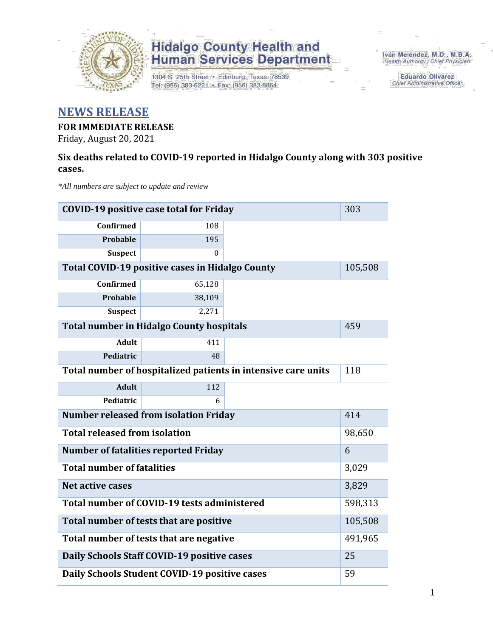

1304 S. 25th Street · Edinburg, Texas 78539 Tel: (956) 383-6221 · Fax: (956) 383-8864

Iván Meléndez, M.D., M.B.A. Health Authority / Chief Physician

> **Eduardo Olivarez Chief Administrative Officer**

### **NEWS RELEASE**

#### **FOR IMMEDIATE RELEASE**

Friday, August 20, 2021

#### **Six deaths related to COVID-19 reported in Hidalgo County along with 303 positive cases.**

*\*All numbers are subject to update and review*

| <b>COVID-19 positive case total for Friday</b>                | 303                                                    |         |         |  |  |  |  |
|---------------------------------------------------------------|--------------------------------------------------------|---------|---------|--|--|--|--|
| <b>Confirmed</b>                                              | 108                                                    |         |         |  |  |  |  |
| <b>Probable</b>                                               | 195                                                    |         |         |  |  |  |  |
| <b>Suspect</b>                                                | $\Omega$                                               |         |         |  |  |  |  |
|                                                               | <b>Total COVID-19 positive cases in Hidalgo County</b> |         | 105,508 |  |  |  |  |
| <b>Confirmed</b>                                              | 65,128                                                 |         |         |  |  |  |  |
| <b>Probable</b>                                               | 38,109                                                 |         |         |  |  |  |  |
| <b>Suspect</b>                                                | 2,271                                                  |         |         |  |  |  |  |
|                                                               | <b>Total number in Hidalgo County hospitals</b>        |         | 459     |  |  |  |  |
| <b>Adult</b>                                                  | 411                                                    |         |         |  |  |  |  |
| Pediatric                                                     | 48                                                     |         |         |  |  |  |  |
| Total number of hospitalized patients in intensive care units | 118                                                    |         |         |  |  |  |  |
| <b>Adult</b>                                                  | 112                                                    |         |         |  |  |  |  |
| Pediatric                                                     | 6                                                      |         |         |  |  |  |  |
| <b>Number released from isolation Friday</b><br>414           |                                                        |         |         |  |  |  |  |
| <b>Total released from isolation</b>                          | 98,650                                                 |         |         |  |  |  |  |
| <b>Number of fatalities reported Friday</b>                   | 6                                                      |         |         |  |  |  |  |
| <b>Total number of fatalities</b>                             | 3,029                                                  |         |         |  |  |  |  |
| <b>Net active cases</b>                                       |                                                        |         | 3,829   |  |  |  |  |
| Total number of COVID-19 tests administered                   |                                                        | 598,313 |         |  |  |  |  |
| Total number of tests that are positive                       |                                                        | 105,508 |         |  |  |  |  |
| Total number of tests that are negative                       |                                                        | 491,965 |         |  |  |  |  |
| Daily Schools Staff COVID-19 positive cases                   |                                                        | 25      |         |  |  |  |  |
| Daily Schools Student COVID-19 positive cases                 | 59                                                     |         |         |  |  |  |  |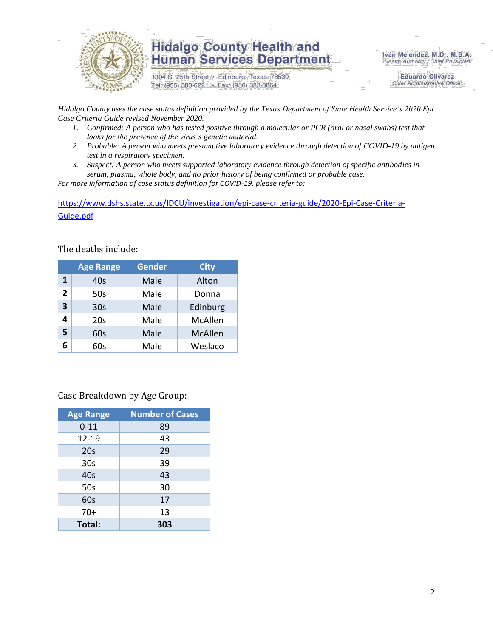

1304 S. 25th Street · Edinburg, Texas 78539 Tel: (956) 383-6221 · Fax: (956) 383-8864

Iván Meléndez, M.D., M.B.A. Health Authority / Chief Physician

> **Eduardo Olivarez Chief Administrative Officer**

*Hidalgo County uses the case status definition provided by the Texas Department of State Health Service's 2020 Epi Case Criteria Guide revised November 2020.*

- *1. Confirmed: A person who has tested positive through a molecular or PCR (oral or nasal swabs) test that looks for the presence of the virus's genetic material.*
- *2. Probable: A person who meets presumptive laboratory evidence through detection of COVID-19 by antigen test in a respiratory specimen.*
- *3. Suspect: A person who meets supported laboratory evidence through detection of specific antibodies in serum, plasma, whole body, and no prior history of being confirmed or probable case.*

*For more information of case status definition for COVID-19, please refer to:*

[https://www.dshs.state.tx.us/IDCU/investigation/epi-case-criteria-guide/2020-Epi-Case-Criteria-](https://www.dshs.state.tx.us/IDCU/investigation/epi-case-criteria-guide/2020-Epi-Case-Criteria-Guide.pdf)[Guide.pdf](https://www.dshs.state.tx.us/IDCU/investigation/epi-case-criteria-guide/2020-Epi-Case-Criteria-Guide.pdf)

The deaths include:

|                | <b>Age Range</b> | Gender | <b>City</b>    |
|----------------|------------------|--------|----------------|
| 1              | 40s              | Male   | Alton          |
| $\overline{2}$ | 50s              | Male   | Donna          |
| 3              | 30 <sub>s</sub>  | Male   | Edinburg       |
|                | 20s              | Male   | McAllen        |
| 5              | 60s              | Male   | <b>McAllen</b> |
|                | 60s              | Male   | Weslaco        |

Case Breakdown by Age Group:

| <b>Age Range</b> | <b>Number of Cases</b> |
|------------------|------------------------|
| $0 - 11$         | 89                     |
| 12-19            | 43                     |
| 20s              | 29                     |
| 30 <sub>s</sub>  | 39                     |
| 40s              | 43                     |
| 50s              | 30                     |
| 60s              | 17                     |
| $70+$            | 13                     |
| Total:           | 303                    |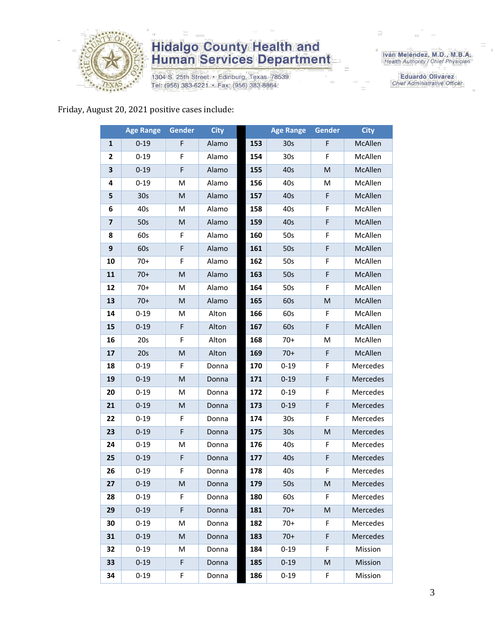

1304 S. 25th Street · Edinburg, Texas 78539 Tel: (956) 383-6221 · Fax: (956) 383-8864

Iván Meléndez, M.D., M.B.A.<br>Health Authority / Chief Physician

**Eduardo Olivarez** Chief Administrative Officer

#### Friday, August 20, 2021 positive cases include:

|                         | <b>Age Range</b> | Gender                                                                                                     | <b>City</b> |     | <b>Age Range</b> | <b>Gender</b>                                                                                              | <b>City</b> |
|-------------------------|------------------|------------------------------------------------------------------------------------------------------------|-------------|-----|------------------|------------------------------------------------------------------------------------------------------------|-------------|
| 1                       | $0 - 19$         | F                                                                                                          | Alamo       | 153 | 30 <sub>s</sub>  | F                                                                                                          | McAllen     |
| 2                       | $0 - 19$         | F                                                                                                          | Alamo       | 154 | 30 <sub>s</sub>  | F                                                                                                          | McAllen     |
| 3                       | $0 - 19$         | F                                                                                                          | Alamo       | 155 | 40s              | ${\sf M}$                                                                                                  | McAllen     |
| 4                       | $0 - 19$         | M                                                                                                          | Alamo       | 156 | 40s              | M                                                                                                          | McAllen     |
| 5                       | 30s              | $\mathsf{M}% _{T}=\mathsf{M}_{T}\!\left( a,b\right) ,\ \mathsf{M}_{T}=\mathsf{M}_{T}\!\left( a,b\right) ,$ | Alamo       | 157 | 40s              | F                                                                                                          | McAllen     |
| 6                       | 40s              | M                                                                                                          | Alamo       | 158 | 40s              | F                                                                                                          | McAllen     |
| $\overline{\mathbf{z}}$ | 50s              | ${\sf M}$                                                                                                  | Alamo       | 159 | 40s              | F                                                                                                          | McAllen     |
| 8                       | 60s              | F                                                                                                          | Alamo       | 160 | 50s              | F                                                                                                          | McAllen     |
| 9                       | 60s              | F                                                                                                          | Alamo       | 161 | 50s              | F                                                                                                          | McAllen     |
| 10                      | $70+$            | F                                                                                                          | Alamo       | 162 | 50s              | F                                                                                                          | McAllen     |
| 11                      | $70+$            | M                                                                                                          | Alamo       | 163 | 50s              | F                                                                                                          | McAllen     |
| 12                      | $70+$            | M                                                                                                          | Alamo       | 164 | 50s              | F                                                                                                          | McAllen     |
| 13                      | $70+$            | M                                                                                                          | Alamo       | 165 | 60s              | $\mathsf{M}% _{T}=\mathsf{M}_{T}\!\left( a,b\right) ,\ \mathsf{M}_{T}=\mathsf{M}_{T}\!\left( a,b\right) ,$ | McAllen     |
| 14                      | $0 - 19$         | M                                                                                                          | Alton       | 166 | 60s              | F                                                                                                          | McAllen     |
| 15                      | $0 - 19$         | F                                                                                                          | Alton       | 167 | 60s              | F                                                                                                          | McAllen     |
| 16                      | 20s              | F                                                                                                          | Alton       | 168 | $70+$            | M                                                                                                          | McAllen     |
| 17                      | 20s              | ${\sf M}$                                                                                                  | Alton       | 169 | $70+$            | F                                                                                                          | McAllen     |
| 18                      | $0 - 19$         | F                                                                                                          | Donna       | 170 | $0 - 19$         | F                                                                                                          | Mercedes    |
| 19                      | $0 - 19$         | M                                                                                                          | Donna       | 171 | $0 - 19$         | F                                                                                                          | Mercedes    |
| 20                      | $0 - 19$         | M                                                                                                          | Donna       | 172 | $0 - 19$         | F                                                                                                          | Mercedes    |
| 21                      | $0 - 19$         | ${\sf M}$                                                                                                  | Donna       | 173 | $0 - 19$         | F                                                                                                          | Mercedes    |
| 22                      | $0 - 19$         | F                                                                                                          | Donna       | 174 | 30 <sub>s</sub>  | F                                                                                                          | Mercedes    |
| 23                      | $0 - 19$         | F                                                                                                          | Donna       | 175 | 30 <sub>s</sub>  | $\mathsf{M}% _{T}=\mathsf{M}_{T}\!\left( a,b\right) ,\ \mathsf{M}_{T}=\mathsf{M}_{T}\!\left( a,b\right) ,$ | Mercedes    |
| 24                      | $0 - 19$         | M                                                                                                          | Donna       | 176 | 40s              | F                                                                                                          | Mercedes    |
| 25                      | $0 - 19$         | F                                                                                                          | Donna       | 177 | 40s              | F                                                                                                          | Mercedes    |
| 26                      | $0 - 19$         | F                                                                                                          | Donna       | 178 | 40s              | F                                                                                                          | Mercedes    |
| 27                      | $0 - 19$         | M                                                                                                          | Donna       | 179 | 50s              | M                                                                                                          | Mercedes    |
| 28                      | 0-19             | F.                                                                                                         | Donna       | 180 | 60s              | F.                                                                                                         | Mercedes    |
| 29                      | $0 - 19$         | F                                                                                                          | Donna       | 181 | $70+$            | M                                                                                                          | Mercedes    |
| 30                      | $0 - 19$         | M                                                                                                          | Donna       | 182 | $70+$            | F                                                                                                          | Mercedes    |
| 31                      | $0 - 19$         | M                                                                                                          | Donna       | 183 | $70+$            | F                                                                                                          | Mercedes    |
| 32                      | $0 - 19$         | M                                                                                                          | Donna       | 184 | $0 - 19$         | F                                                                                                          | Mission     |
| 33                      | $0 - 19$         | $\mathsf F$                                                                                                | Donna       | 185 | $0 - 19$         | M                                                                                                          | Mission     |
| 34                      | $0 - 19$         | F                                                                                                          | Donna       | 186 | $0 - 19$         | F                                                                                                          | Mission     |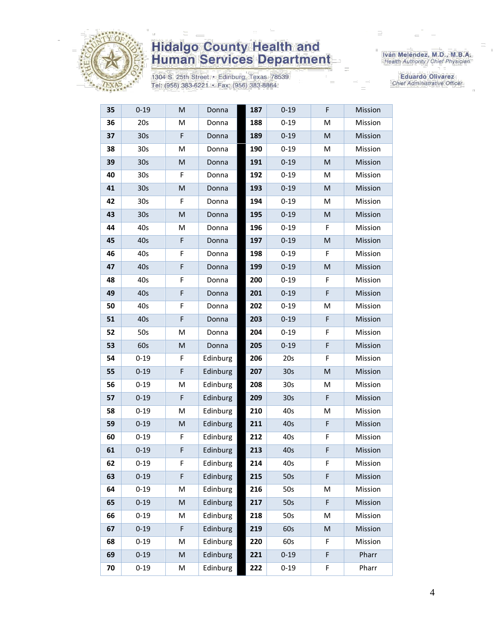

1304 S. 25th Street · Edinburg, Texas 78539 Tel: (956) 383-6221 · Fax: (956) 383-8864

Iván Meléndez, M.D., M.B.A.<br>Health Authority / Chief Physician

Eduardo Olivarez Chief Administrative Officer

| 35 | $0 - 19$        | M                                                                                                          | Donna    | 187 | $0 - 19$        | F | Mission |
|----|-----------------|------------------------------------------------------------------------------------------------------------|----------|-----|-----------------|---|---------|
| 36 | 20s             | M                                                                                                          | Donna    | 188 | $0 - 19$        | M | Mission |
| 37 | 30s             | F                                                                                                          | Donna    | 189 | $0 - 19$        | M | Mission |
| 38 | 30s             | M                                                                                                          | Donna    | 190 | $0 - 19$        | M | Mission |
| 39 | 30s             | M                                                                                                          | Donna    | 191 | $0 - 19$        | M | Mission |
| 40 | 30 <sub>s</sub> | F                                                                                                          | Donna    | 192 | $0 - 19$        | M | Mission |
| 41 | 30 <sub>s</sub> | $\mathsf{M}% _{T}=\mathsf{M}_{T}\!\left( a,b\right) ,\ \mathsf{M}_{T}=\mathsf{M}_{T}\!\left( a,b\right) ,$ | Donna    | 193 | $0 - 19$        | M | Mission |
| 42 | 30 <sub>s</sub> | F                                                                                                          | Donna    | 194 | $0 - 19$        | M | Mission |
| 43 | 30 <sub>s</sub> | M                                                                                                          | Donna    | 195 | $0 - 19$        | M | Mission |
| 44 | 40s             | M                                                                                                          | Donna    | 196 | $0 - 19$        | F | Mission |
| 45 | 40s             | F                                                                                                          | Donna    | 197 | $0 - 19$        | M | Mission |
| 46 | 40s             | F                                                                                                          | Donna    | 198 | $0 - 19$        | F | Mission |
| 47 | 40s             | F                                                                                                          | Donna    | 199 | $0 - 19$        | M | Mission |
| 48 | 40s             | F                                                                                                          | Donna    | 200 | $0 - 19$        | F | Mission |
| 49 | 40s             | F                                                                                                          | Donna    | 201 | $0 - 19$        | F | Mission |
| 50 | 40s             | F                                                                                                          | Donna    | 202 | $0 - 19$        | M | Mission |
| 51 | 40s             | F                                                                                                          | Donna    | 203 | $0 - 19$        | F | Mission |
| 52 | 50s             | M                                                                                                          | Donna    | 204 | $0 - 19$        | F | Mission |
| 53 | 60s             | M                                                                                                          | Donna    | 205 | $0 - 19$        | F | Mission |
| 54 | $0 - 19$        | F                                                                                                          | Edinburg | 206 | 20s             | F | Mission |
| 55 | $0 - 19$        | F                                                                                                          | Edinburg | 207 | 30 <sub>s</sub> | M | Mission |
| 56 | $0 - 19$        | M                                                                                                          | Edinburg | 208 | 30 <sub>s</sub> | M | Mission |
| 57 | $0 - 19$        | F                                                                                                          | Edinburg | 209 | 30 <sub>s</sub> | F | Mission |
| 58 | $0 - 19$        | M                                                                                                          | Edinburg | 210 | 40s             | M | Mission |
| 59 | $0 - 19$        | M                                                                                                          | Edinburg | 211 | 40s             | F | Mission |
| 60 | $0 - 19$        | F                                                                                                          | Edinburg | 212 | 40s             | F | Mission |
| 61 | $0 - 19$        | F                                                                                                          | Edinburg | 213 | 40s             | F | Mission |
| 62 | $0 - 19$        | F                                                                                                          | Edinburg | 214 | 40s             | F | Mission |
| 63 | $0 - 19$        | F                                                                                                          | Edinburg | 215 | 50s             | F | Mission |
| 64 | $0 - 19$        | M                                                                                                          | Edinburg | 216 | 50s             | M | Mission |
| 65 | $0 - 19$        | $\mathsf{M}% _{T}=\mathsf{M}_{T}\!\left( a,b\right) ,\ \mathsf{M}_{T}=\mathsf{M}_{T}\!\left( a,b\right) ,$ | Edinburg | 217 | 50s             | F | Mission |
| 66 | $0 - 19$        | M                                                                                                          | Edinburg | 218 | 50s             | M | Mission |
| 67 | $0 - 19$        | F                                                                                                          | Edinburg | 219 | 60s             | M | Mission |
| 68 | $0 - 19$        | M                                                                                                          | Edinburg | 220 | 60s             | F | Mission |
| 69 | $0 - 19$        | M                                                                                                          | Edinburg | 221 | $0 - 19$        | F | Pharr   |
| 70 | $0 - 19$        | М                                                                                                          | Edinburg | 222 | $0 - 19$        | F | Pharr   |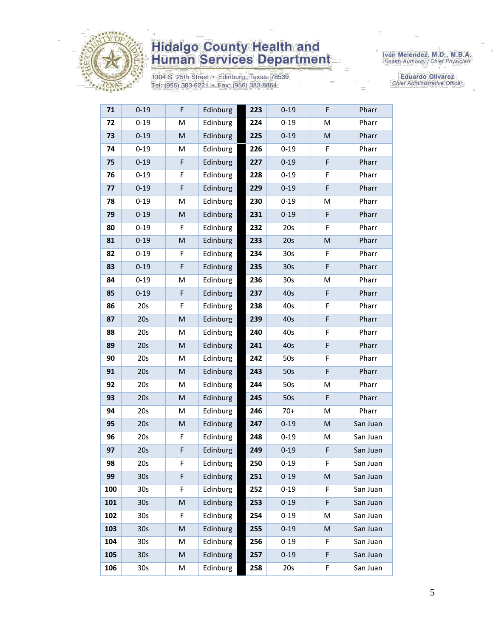

1304 S. 25th Street · Edinburg, Texas 78539 Tel: (956) 383-6221 · Fax: (956) 383-8864

Iván Meléndez, M.D., M.B.A.<br>Health Authority / Chief Physician

**Eduardo Olivarez** Chief Administrative Officer

| 71  | $0 - 19$        | F           | Edinburg | 223 | $0 - 19$        | F         | Pharr    |
|-----|-----------------|-------------|----------|-----|-----------------|-----------|----------|
| 72  | $0 - 19$        | M           | Edinburg | 224 | $0 - 19$        | M         | Pharr    |
| 73  | $0 - 19$        | ${\sf M}$   | Edinburg | 225 | $0 - 19$        | ${\sf M}$ | Pharr    |
| 74  | $0 - 19$        | M           | Edinburg | 226 | $0 - 19$        | F         | Pharr    |
| 75  | $0 - 19$        | F           | Edinburg | 227 | $0 - 19$        | F         | Pharr    |
| 76  | $0 - 19$        | F           | Edinburg | 228 | $0 - 19$        | F         | Pharr    |
| 77  | $0 - 19$        | F           | Edinburg | 229 | $0 - 19$        | F         | Pharr    |
| 78  | $0 - 19$        | M           | Edinburg | 230 | $0 - 19$        | M         | Pharr    |
| 79  | $0 - 19$        | M           | Edinburg | 231 | $0 - 19$        | F         | Pharr    |
| 80  | $0 - 19$        | F           | Edinburg | 232 | 20s             | F         | Pharr    |
| 81  | $0 - 19$        | M           | Edinburg | 233 | 20s             | M         | Pharr    |
| 82  | $0 - 19$        | F           | Edinburg | 234 | 30 <sub>s</sub> | F         | Pharr    |
| 83  | $0 - 19$        | F           | Edinburg | 235 | 30 <sub>s</sub> | F         | Pharr    |
| 84  | $0 - 19$        | M           | Edinburg | 236 | 30 <sub>s</sub> | M         | Pharr    |
| 85  | $0 - 19$        | F           | Edinburg | 237 | 40s             | F         | Pharr    |
| 86  | 20s             | F           | Edinburg | 238 | 40s             | F         | Pharr    |
| 87  | 20s             | M           | Edinburg | 239 | 40s             | F         | Pharr    |
| 88  | 20s             | М           | Edinburg | 240 | 40s             | F         | Pharr    |
| 89  | 20s             | M           | Edinburg | 241 | 40s             | F         | Pharr    |
| 90  | 20s             | M           | Edinburg | 242 | 50s             | F         | Pharr    |
| 91  | 20s             | M           | Edinburg | 243 | 50s             | F         | Pharr    |
| 92  | 20s             | M           | Edinburg | 244 | 50s             | M         | Pharr    |
| 93  | 20s             | M           | Edinburg | 245 | 50s             | F         | Pharr    |
| 94  | 20s             | М           | Edinburg | 246 | $70+$           | M         | Pharr    |
| 95  | 20s             | M           | Edinburg | 247 | $0 - 19$        | ${\sf M}$ | San Juan |
| 96  | 20s             | F           | Edinburg | 248 | $0 - 19$        | M         | San Juan |
| 97  | 20s             | $\mathsf F$ | Edinburg | 249 | $0 - 19$        | F         | San Juan |
| 98  | 20s             | F           | Edinburg | 250 | $0 - 19$        | F         | San Juan |
| 99  | 30 <sub>s</sub> | F           | Edinburg | 251 | $0 - 19$        | M         | San Juan |
| 100 | 30s             | F           | Edinburg | 252 | $0 - 19$        | F         | San Juan |
| 101 | 30 <sub>s</sub> | M           | Edinburg | 253 | $0 - 19$        | F         | San Juan |
| 102 | 30s             | F           | Edinburg | 254 | $0 - 19$        | M         | San Juan |
| 103 | 30 <sub>s</sub> | M           | Edinburg | 255 | $0 - 19$        | M         | San Juan |
| 104 | 30s             | M           | Edinburg | 256 | $0 - 19$        | F         | San Juan |
| 105 | 30 <sub>s</sub> | M           | Edinburg | 257 | $0 - 19$        | F         | San Juan |
| 106 | 30s             | Μ           | Edinburg | 258 | 20s             | F         | San Juan |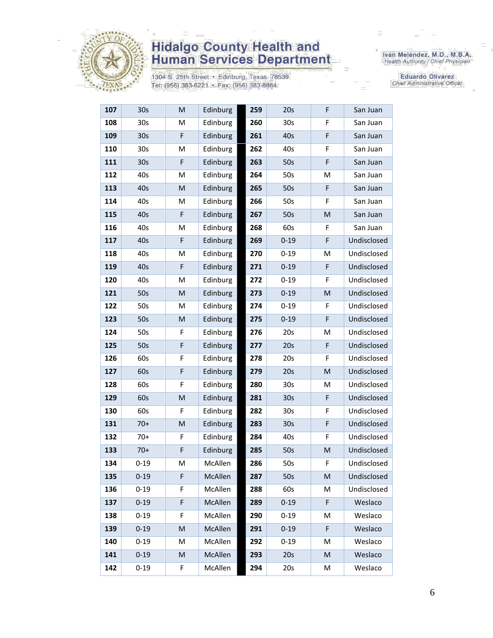

1304 S. 25th Street • Edinburg, Texas 78539<br>Tel: (956) 383-6221 • Fax: (956) 383-8864

Iván Meléndez, M.D., M.B.A.<br>Health Authority / Chief Physician

Eduardo Olivarez Chief Administrative Officer

| 107 | 30 <sub>s</sub> | M           | Edinburg | 259 | 20s             | F  | San Juan    |
|-----|-----------------|-------------|----------|-----|-----------------|----|-------------|
| 108 | 30 <sub>s</sub> | M           | Edinburg | 260 | 30 <sub>s</sub> | F  | San Juan    |
| 109 | 30 <sub>s</sub> | F           | Edinburg | 261 | 40s             | F  | San Juan    |
| 110 | 30 <sub>s</sub> | M           | Edinburg | 262 | 40s             | F  | San Juan    |
| 111 | 30 <sub>s</sub> | $\mathsf F$ | Edinburg | 263 | 50s             | F  | San Juan    |
| 112 | 40s             | M           | Edinburg | 264 | 50s             | M  | San Juan    |
| 113 | 40s             | M           | Edinburg | 265 | 50s             | F  | San Juan    |
| 114 | 40s             | M           | Edinburg | 266 | 50s             | F  | San Juan    |
| 115 | 40s             | F           | Edinburg | 267 | 50s             | M  | San Juan    |
| 116 | 40s             | M           | Edinburg | 268 | 60s             | F  | San Juan    |
| 117 | 40s             | F           | Edinburg | 269 | $0 - 19$        | F  | Undisclosed |
| 118 | 40s             | M           | Edinburg | 270 | $0 - 19$        | M  | Undisclosed |
| 119 | 40s             | $\mathsf F$ | Edinburg | 271 | $0 - 19$        | F  | Undisclosed |
| 120 | 40s             | M           | Edinburg | 272 | $0 - 19$        | F  | Undisclosed |
| 121 | 50s             | M           | Edinburg | 273 | $0 - 19$        | M  | Undisclosed |
| 122 | 50s             | M           | Edinburg | 274 | $0 - 19$        | F  | Undisclosed |
| 123 | 50s             | M           | Edinburg | 275 | $0 - 19$        | F  | Undisclosed |
| 124 | 50s             | F           | Edinburg | 276 | 20s             | M  | Undisclosed |
| 125 | 50s             | F           | Edinburg | 277 | 20s             | F  | Undisclosed |
| 126 | 60s             | F           | Edinburg | 278 | 20s             | F  | Undisclosed |
| 127 | 60s             | F           | Edinburg | 279 | 20s             | M  | Undisclosed |
| 128 | 60s             | F           | Edinburg | 280 | 30s             | M  | Undisclosed |
| 129 | 60s             | M           | Edinburg | 281 | 30 <sub>s</sub> | F  | Undisclosed |
| 130 | 60s             | F           | Edinburg | 282 | 30s             | F  | Undisclosed |
| 131 | $70+$           | M           | Edinburg | 283 | 30 <sub>s</sub> | F  | Undisclosed |
| 132 | $70+$           | F           | Edinburg | 284 | 40s             | F  | Undisclosed |
| 133 | $70+$           | F           | Edinburg | 285 | 50s             | M  | Undisclosed |
| 134 | $0 - 19$        | M           | McAllen  | 286 | 50s             | F. | Undisclosed |
| 135 | $0 - 19$        | F           | McAllen  | 287 | 50s             | M  | Undisclosed |
| 136 | $0 - 19$        | F           | McAllen  | 288 | 60s             | M  | Undisclosed |
| 137 | $0 - 19$        | F           | McAllen  | 289 | $0 - 19$        | F  | Weslaco     |
| 138 | $0 - 19$        | F           | McAllen  | 290 | $0 - 19$        | M  | Weslaco     |
| 139 | $0 - 19$        | M           | McAllen  | 291 | $0 - 19$        | F  | Weslaco     |
| 140 | $0 - 19$        | M           | McAllen  | 292 | $0 - 19$        | M  | Weslaco     |
| 141 | $0 - 19$        | M           | McAllen  | 293 | 20s             | M  | Weslaco     |
| 142 | $0 - 19$        | F           | McAllen  | 294 | 20s             | М  | Weslaco     |